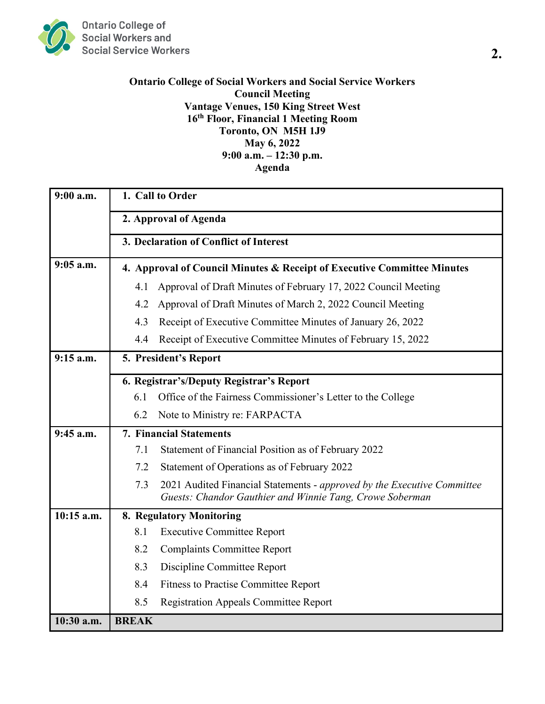

## **Ontario College of Social Workers and Social Service Workers Council Meeting Vantage Venues, 150 King Street West 16th Floor, Financial 1 Meeting Room Toronto, ON M5H 1J9 May 6, 2022 9:00 a.m. – 12:30 p.m. Agenda**

| $9:00$ a.m.  | 1. Call to Order                                                                                                                           |
|--------------|--------------------------------------------------------------------------------------------------------------------------------------------|
|              | 2. Approval of Agenda                                                                                                                      |
|              | 3. Declaration of Conflict of Interest                                                                                                     |
| $9:05$ a.m.  | 4. Approval of Council Minutes & Receipt of Executive Committee Minutes                                                                    |
|              | Approval of Draft Minutes of February 17, 2022 Council Meeting<br>4.1                                                                      |
|              | Approval of Draft Minutes of March 2, 2022 Council Meeting<br>4.2                                                                          |
|              | Receipt of Executive Committee Minutes of January 26, 2022<br>4.3                                                                          |
|              | Receipt of Executive Committee Minutes of February 15, 2022<br>4.4                                                                         |
| $9:15$ a.m.  | 5. President's Report                                                                                                                      |
|              | 6. Registrar's/Deputy Registrar's Report                                                                                                   |
|              | 6.1<br>Office of the Fairness Commissioner's Letter to the College                                                                         |
|              | Note to Ministry re: FARPACTA<br>6.2                                                                                                       |
| $9:45$ a.m.  | <b>7. Financial Statements</b>                                                                                                             |
|              | 7.1<br>Statement of Financial Position as of February 2022                                                                                 |
|              | 7.2<br>Statement of Operations as of February 2022                                                                                         |
|              | 2021 Audited Financial Statements - approved by the Executive Committee<br>7.3<br>Guests: Chandor Gauthier and Winnie Tang, Crowe Soberman |
| $10:15$ a.m. | 8. Regulatory Monitoring                                                                                                                   |
|              | 8.1<br><b>Executive Committee Report</b>                                                                                                   |
|              | 8.2<br><b>Complaints Committee Report</b>                                                                                                  |
|              | 8.3<br>Discipline Committee Report                                                                                                         |
|              | 8.4<br><b>Fitness to Practise Committee Report</b>                                                                                         |
|              | 8.5<br><b>Registration Appeals Committee Report</b>                                                                                        |
| 10:30 a.m.   | <b>BREAK</b>                                                                                                                               |